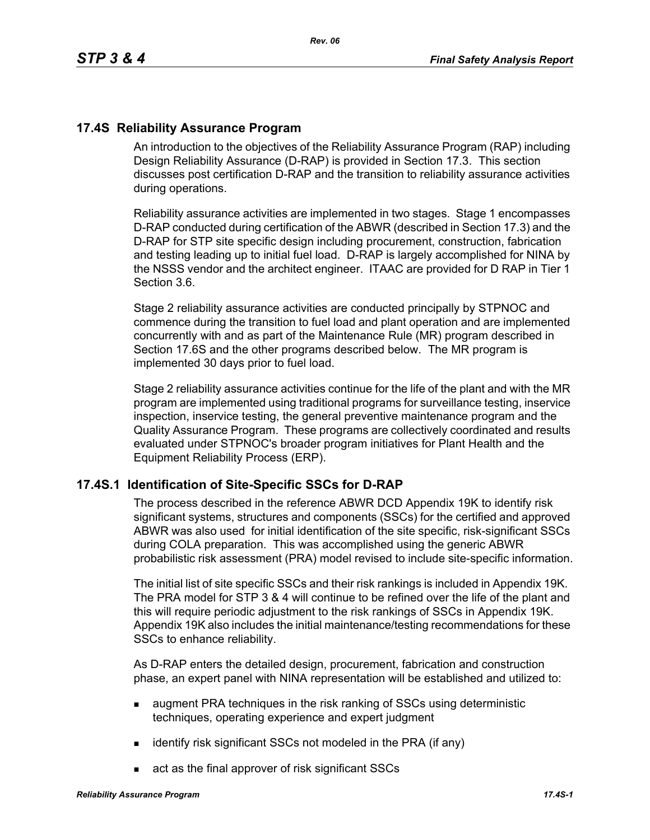## **17.4S Reliability Assurance Program**

An introduction to the objectives of the Reliability Assurance Program (RAP) including Design Reliability Assurance (D-RAP) is provided in Section 17.3. This section discusses post certification D-RAP and the transition to reliability assurance activities during operations.

Reliability assurance activities are implemented in two stages. Stage 1 encompasses D-RAP conducted during certification of the ABWR (described in Section 17.3) and the D-RAP for STP site specific design including procurement, construction, fabrication and testing leading up to initial fuel load. D-RAP is largely accomplished for NINA by the NSSS vendor and the architect engineer. ITAAC are provided for D RAP in Tier 1 Section 3.6.

Stage 2 reliability assurance activities are conducted principally by STPNOC and commence during the transition to fuel load and plant operation and are implemented concurrently with and as part of the Maintenance Rule (MR) program described in Section 17.6S and the other programs described below. The MR program is implemented 30 days prior to fuel load.

Stage 2 reliability assurance activities continue for the life of the plant and with the MR program are implemented using traditional programs for surveillance testing, inservice inspection, inservice testing, the general preventive maintenance program and the Quality Assurance Program. These programs are collectively coordinated and results evaluated under STPNOC's broader program initiatives for Plant Health and the Equipment Reliability Process (ERP).

### **17.4S.1 Identification of Site-Specific SSCs for D-RAP**

The process described in the reference ABWR DCD Appendix 19K to identify risk significant systems, structures and components (SSCs) for the certified and approved ABWR was also used for initial identification of the site specific, risk-significant SSCs during COLA preparation. This was accomplished using the generic ABWR probabilistic risk assessment (PRA) model revised to include site-specific information.

The initial list of site specific SSCs and their risk rankings is included in Appendix 19K. The PRA model for STP 3 & 4 will continue to be refined over the life of the plant and this will require periodic adjustment to the risk rankings of SSCs in Appendix 19K. Appendix 19K also includes the initial maintenance/testing recommendations for these SSCs to enhance reliability.

As D-RAP enters the detailed design, procurement, fabrication and construction phase, an expert panel with NINA representation will be established and utilized to:

- **a** augment PRA techniques in the risk ranking of SSCs using deterministic techniques, operating experience and expert judgment
- $\blacksquare$  identify risk significant SSCs not modeled in the PRA (if any)
- act as the final approver of risk significant SSCs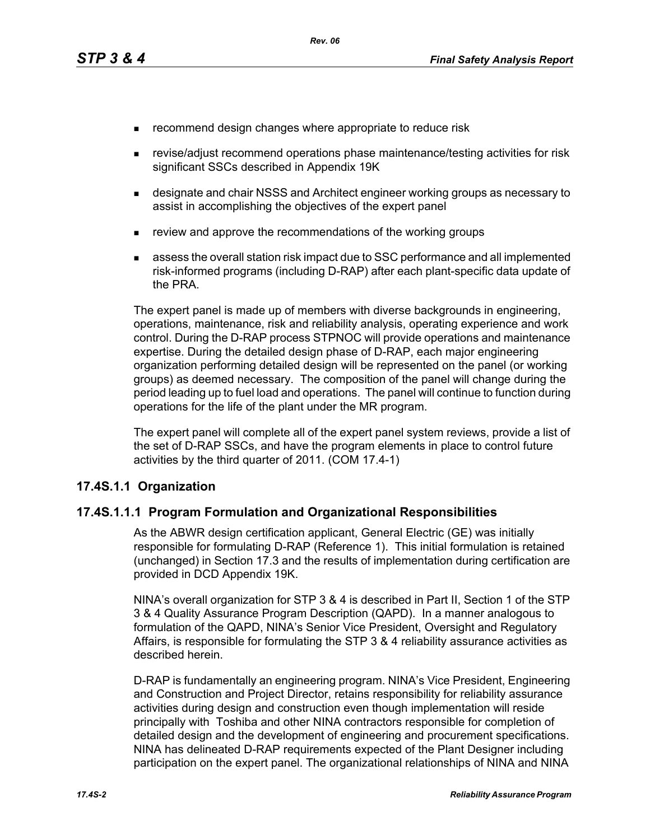- **EXECOMMENDERIGHT CHANGES** where appropriate to reduce risk
- revise/adjust recommend operations phase maintenance/testing activities for risk significant SSCs described in Appendix 19K
- designate and chair NSSS and Architect engineer working groups as necessary to assist in accomplishing the objectives of the expert panel
- **EXECT** review and approve the recommendations of the working groups
- assess the overall station risk impact due to SSC performance and all implemented risk-informed programs (including D-RAP) after each plant-specific data update of the PRA.

The expert panel is made up of members with diverse backgrounds in engineering, operations, maintenance, risk and reliability analysis, operating experience and work control. During the D-RAP process STPNOC will provide operations and maintenance expertise. During the detailed design phase of D-RAP, each major engineering organization performing detailed design will be represented on the panel (or working groups) as deemed necessary. The composition of the panel will change during the period leading up to fuel load and operations. The panel will continue to function during operations for the life of the plant under the MR program.

The expert panel will complete all of the expert panel system reviews, provide a list of the set of D-RAP SSCs, and have the program elements in place to control future activities by the third quarter of 2011. (COM 17.4-1)

### **17.4S.1.1 Organization**

### **17.4S.1.1.1 Program Formulation and Organizational Responsibilities**

As the ABWR design certification applicant, General Electric (GE) was initially responsible for formulating D-RAP (Reference 1). This initial formulation is retained (unchanged) in Section 17.3 and the results of implementation during certification are provided in DCD Appendix 19K.

NINA's overall organization for STP 3 & 4 is described in Part II, Section 1 of the STP 3 & 4 Quality Assurance Program Description (QAPD). In a manner analogous to formulation of the QAPD, NINA's Senior Vice President, Oversight and Regulatory Affairs, is responsible for formulating the STP 3 & 4 reliability assurance activities as described herein.

D-RAP is fundamentally an engineering program. NINA's Vice President, Engineering and Construction and Project Director, retains responsibility for reliability assurance activities during design and construction even though implementation will reside principally with Toshiba and other NINA contractors responsible for completion of detailed design and the development of engineering and procurement specifications. NINA has delineated D-RAP requirements expected of the Plant Designer including participation on the expert panel. The organizational relationships of NINA and NINA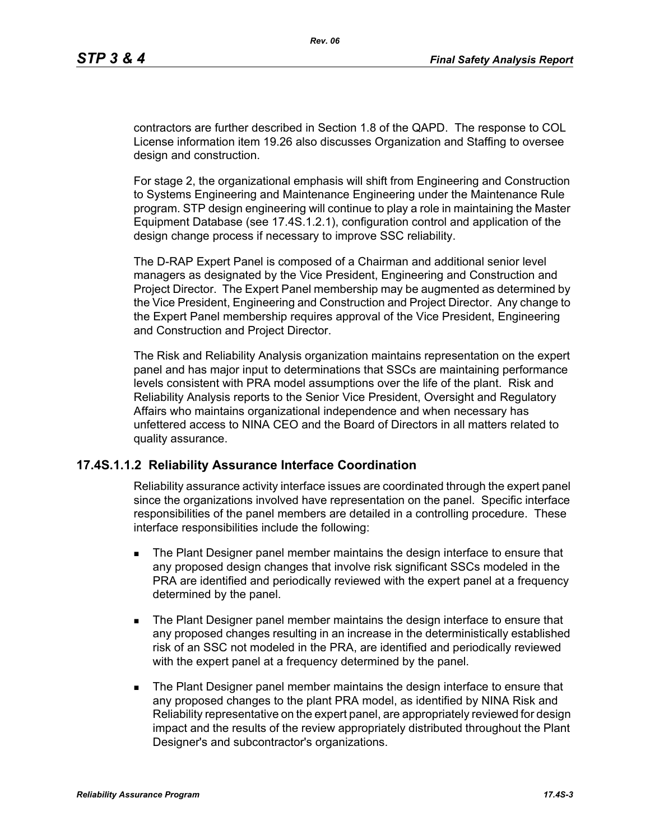contractors are further described in Section 1.8 of the QAPD. The response to COL License information item 19.26 also discusses Organization and Staffing to oversee design and construction.

For stage 2, the organizational emphasis will shift from Engineering and Construction to Systems Engineering and Maintenance Engineering under the Maintenance Rule program. STP design engineering will continue to play a role in maintaining the Master Equipment Database (see 17.4S.1.2.1), configuration control and application of the design change process if necessary to improve SSC reliability.

The D-RAP Expert Panel is composed of a Chairman and additional senior level managers as designated by the Vice President, Engineering and Construction and Project Director. The Expert Panel membership may be augmented as determined by the Vice President, Engineering and Construction and Project Director. Any change to the Expert Panel membership requires approval of the Vice President, Engineering and Construction and Project Director.

The Risk and Reliability Analysis organization maintains representation on the expert panel and has major input to determinations that SSCs are maintaining performance levels consistent with PRA model assumptions over the life of the plant. Risk and Reliability Analysis reports to the Senior Vice President, Oversight and Regulatory Affairs who maintains organizational independence and when necessary has unfettered access to NINA CEO and the Board of Directors in all matters related to quality assurance.

### **17.4S.1.1.2 Reliability Assurance Interface Coordination**

Reliability assurance activity interface issues are coordinated through the expert panel since the organizations involved have representation on the panel. Specific interface responsibilities of the panel members are detailed in a controlling procedure. These interface responsibilities include the following:

- **The Plant Designer panel member maintains the design interface to ensure that** any proposed design changes that involve risk significant SSCs modeled in the PRA are identified and periodically reviewed with the expert panel at a frequency determined by the panel.
- **The Plant Designer panel member maintains the design interface to ensure that** any proposed changes resulting in an increase in the deterministically established risk of an SSC not modeled in the PRA, are identified and periodically reviewed with the expert panel at a frequency determined by the panel.
- **The Plant Designer panel member maintains the design interface to ensure that** any proposed changes to the plant PRA model, as identified by NINA Risk and Reliability representative on the expert panel, are appropriately reviewed for design impact and the results of the review appropriately distributed throughout the Plant Designer's and subcontractor's organizations.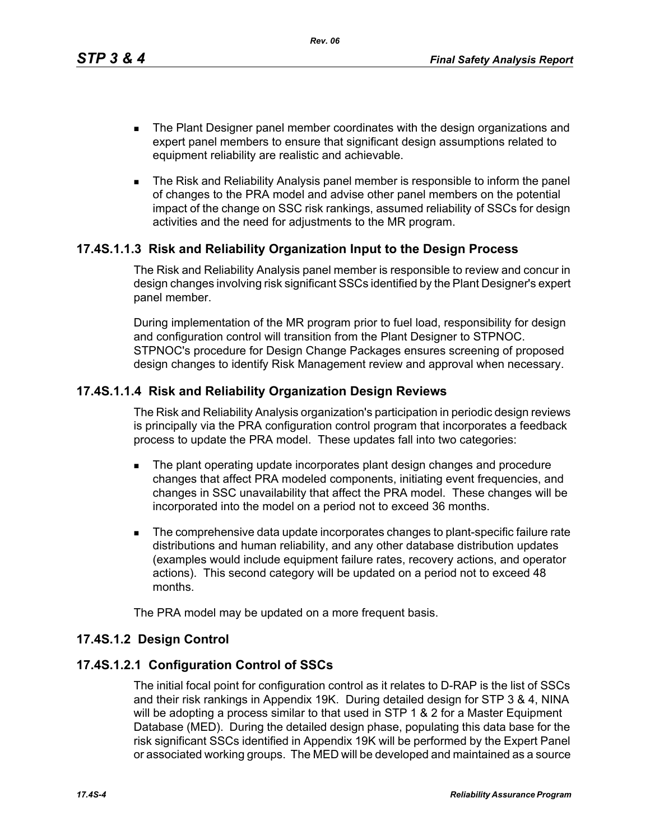*Rev. 06*

- **The Plant Designer panel member coordinates with the design organizations and** expert panel members to ensure that significant design assumptions related to equipment reliability are realistic and achievable.
- **The Risk and Reliability Analysis panel member is responsible to inform the panel** of changes to the PRA model and advise other panel members on the potential impact of the change on SSC risk rankings, assumed reliability of SSCs for design activities and the need for adjustments to the MR program.

# **17.4S.1.1.3 Risk and Reliability Organization Input to the Design Process**

The Risk and Reliability Analysis panel member is responsible to review and concur in design changes involving risk significant SSCs identified by the Plant Designer's expert panel member.

During implementation of the MR program prior to fuel load, responsibility for design and configuration control will transition from the Plant Designer to STPNOC. STPNOC's procedure for Design Change Packages ensures screening of proposed design changes to identify Risk Management review and approval when necessary.

# **17.4S.1.1.4 Risk and Reliability Organization Design Reviews**

The Risk and Reliability Analysis organization's participation in periodic design reviews is principally via the PRA configuration control program that incorporates a feedback process to update the PRA model. These updates fall into two categories:

- **The plant operating update incorporates plant design changes and procedure** changes that affect PRA modeled components, initiating event frequencies, and changes in SSC unavailability that affect the PRA model. These changes will be incorporated into the model on a period not to exceed 36 months.
- The comprehensive data update incorporates changes to plant-specific failure rate distributions and human reliability, and any other database distribution updates (examples would include equipment failure rates, recovery actions, and operator actions). This second category will be updated on a period not to exceed 48 months.

The PRA model may be updated on a more frequent basis.

# **17.4S.1.2 Design Control**

# **17.4S.1.2.1 Configuration Control of SSCs**

The initial focal point for configuration control as it relates to D-RAP is the list of SSCs and their risk rankings in Appendix 19K. During detailed design for STP 3 & 4, NINA will be adopting a process similar to that used in STP 1 & 2 for a Master Equipment Database (MED). During the detailed design phase, populating this data base for the risk significant SSCs identified in Appendix 19K will be performed by the Expert Panel or associated working groups. The MED will be developed and maintained as a source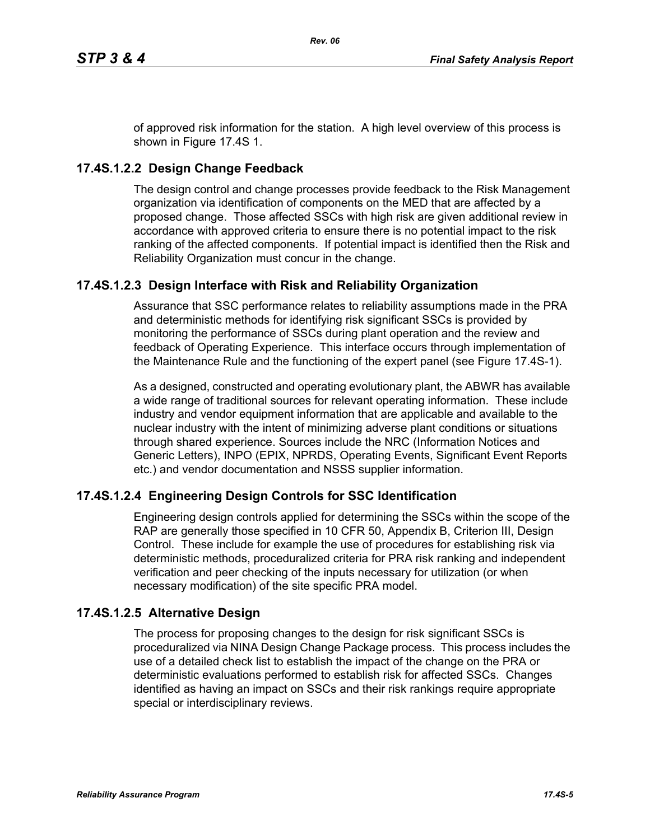of approved risk information for the station. A high level overview of this process is shown in Figure 17.4S 1.

## **17.4S.1.2.2 Design Change Feedback**

The design control and change processes provide feedback to the Risk Management organization via identification of components on the MED that are affected by a proposed change. Those affected SSCs with high risk are given additional review in accordance with approved criteria to ensure there is no potential impact to the risk ranking of the affected components. If potential impact is identified then the Risk and Reliability Organization must concur in the change.

## **17.4S.1.2.3 Design Interface with Risk and Reliability Organization**

Assurance that SSC performance relates to reliability assumptions made in the PRA and deterministic methods for identifying risk significant SSCs is provided by monitoring the performance of SSCs during plant operation and the review and feedback of Operating Experience. This interface occurs through implementation of the Maintenance Rule and the functioning of the expert panel (see Figure 17.4S-1).

As a designed, constructed and operating evolutionary plant, the ABWR has available a wide range of traditional sources for relevant operating information. These include industry and vendor equipment information that are applicable and available to the nuclear industry with the intent of minimizing adverse plant conditions or situations through shared experience. Sources include the NRC (Information Notices and Generic Letters), INPO (EPIX, NPRDS, Operating Events, Significant Event Reports etc.) and vendor documentation and NSSS supplier information.

# **17.4S.1.2.4 Engineering Design Controls for SSC Identification**

Engineering design controls applied for determining the SSCs within the scope of the RAP are generally those specified in 10 CFR 50, Appendix B, Criterion III, Design Control. These include for example the use of procedures for establishing risk via deterministic methods, proceduralized criteria for PRA risk ranking and independent verification and peer checking of the inputs necessary for utilization (or when necessary modification) of the site specific PRA model.

## **17.4S.1.2.5 Alternative Design**

The process for proposing changes to the design for risk significant SSCs is proceduralized via NINA Design Change Package process. This process includes the use of a detailed check list to establish the impact of the change on the PRA or deterministic evaluations performed to establish risk for affected SSCs. Changes identified as having an impact on SSCs and their risk rankings require appropriate special or interdisciplinary reviews.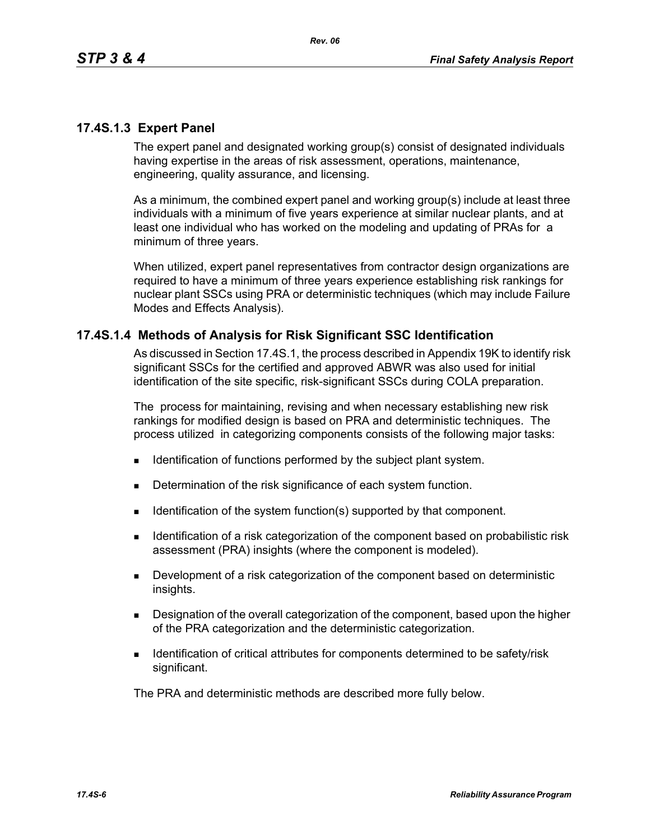### **17.4S.1.3 Expert Panel**

The expert panel and designated working group(s) consist of designated individuals having expertise in the areas of risk assessment, operations, maintenance, engineering, quality assurance, and licensing.

As a minimum, the combined expert panel and working group(s) include at least three individuals with a minimum of five years experience at similar nuclear plants, and at least one individual who has worked on the modeling and updating of PRAs for a minimum of three years.

When utilized, expert panel representatives from contractor design organizations are required to have a minimum of three years experience establishing risk rankings for nuclear plant SSCs using PRA or deterministic techniques (which may include Failure Modes and Effects Analysis).

### **17.4S.1.4 Methods of Analysis for Risk Significant SSC Identification**

As discussed in Section 17.4S.1, the process described in Appendix 19K to identify risk significant SSCs for the certified and approved ABWR was also used for initial identification of the site specific, risk-significant SSCs during COLA preparation.

The process for maintaining, revising and when necessary establishing new risk rankings for modified design is based on PRA and deterministic techniques. The process utilized in categorizing components consists of the following major tasks:

- **IDENTIFICATE IDENTIFICATE:** Identification of functions performed by the subject plant system.
- Determination of the risk significance of each system function.
- Identification of the system function(s) supported by that component.
- **IDENTIFY IDENTIFY IDENTIFY:** Identification of the component based on probabilistic risk assessment (PRA) insights (where the component is modeled).
- Development of a risk categorization of the component based on deterministic insights.
- **Designation of the overall categorization of the component, based upon the higher** of the PRA categorization and the deterministic categorization.
- **IDENTIFICATION IDENTIFICATION IDENTIFICATION IDENTIFICATION IDENTIFICATION IDENTIFICATION IDENTIFICATION IDENTIFICATION IDENTIFICATION IDENTIFICATION IDENTIFICATION IDENTIFICATION IDENTIFICATION ID** significant.

The PRA and deterministic methods are described more fully below.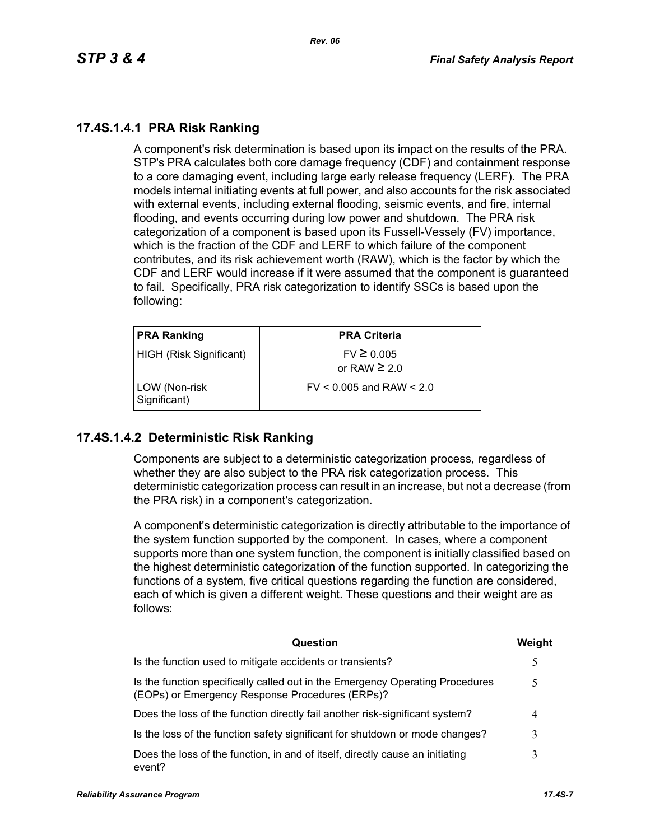## **17.4S.1.4.1 PRA Risk Ranking**

A component's risk determination is based upon its impact on the results of the PRA. STP's PRA calculates both core damage frequency (CDF) and containment response to a core damaging event, including large early release frequency (LERF). The PRA models internal initiating events at full power, and also accounts for the risk associated with external events, including external flooding, seismic events, and fire, internal flooding, and events occurring during low power and shutdown. The PRA risk categorization of a component is based upon its Fussell-Vessely (FV) importance, which is the fraction of the CDF and LERF to which failure of the component contributes, and its risk achievement worth (RAW), which is the factor by which the CDF and LERF would increase if it were assumed that the component is guaranteed to fail. Specifically, PRA risk categorization to identify SSCs is based upon the following:

| <b>PRA Ranking</b>            | <b>PRA Criteria</b>                 |
|-------------------------------|-------------------------------------|
| HIGH (Risk Significant)       | $FV \ge 0.005$<br>or RAW $\geq 2.0$ |
| LOW (Non-risk<br>Significant) | $FV < 0.005$ and RAW $< 2.0$        |

## **17.4S.1.4.2 Deterministic Risk Ranking**

Components are subject to a deterministic categorization process, regardless of whether they are also subject to the PRA risk categorization process. This deterministic categorization process can result in an increase, but not a decrease (from the PRA risk) in a component's categorization.

A component's deterministic categorization is directly attributable to the importance of the system function supported by the component. In cases, where a component supports more than one system function, the component is initially classified based on the highest deterministic categorization of the function supported. In categorizing the functions of a system, five critical questions regarding the function are considered, each of which is given a different weight. These questions and their weight are as follows:

| Question                                                                                                                         | Weight        |
|----------------------------------------------------------------------------------------------------------------------------------|---------------|
| Is the function used to mitigate accidents or transients?                                                                        | $\mathcal{L}$ |
| Is the function specifically called out in the Emergency Operating Procedures<br>(EOPs) or Emergency Response Procedures (ERPs)? |               |
| Does the loss of the function directly fail another risk-significant system?                                                     | 4             |
| Is the loss of the function safety significant for shutdown or mode changes?                                                     |               |
| Does the loss of the function, in and of itself, directly cause an initiating<br>event?                                          | 3             |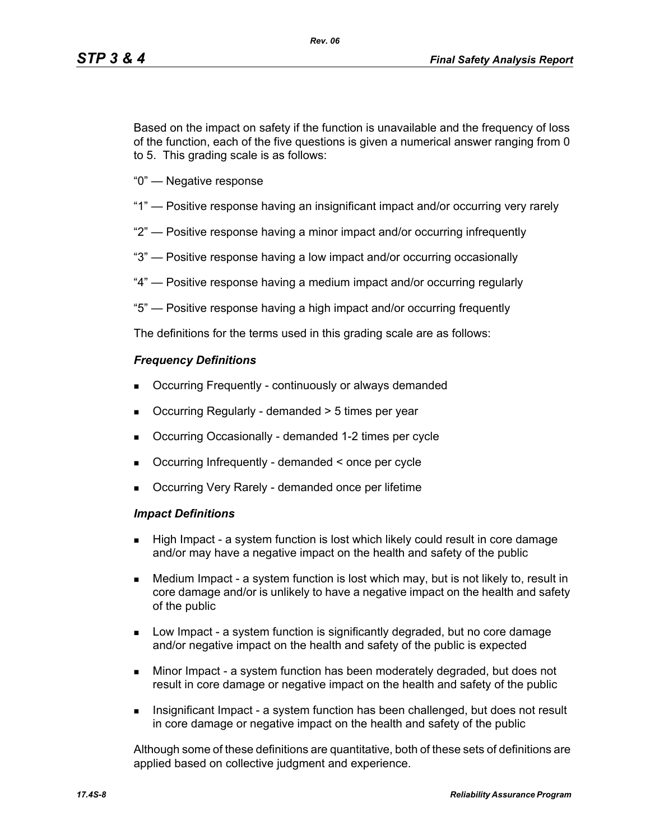Based on the impact on safety if the function is unavailable and the frequency of loss of the function, each of the five questions is given a numerical answer ranging from 0 to 5. This grading scale is as follows:

- "0" Negative response
- "1" Positive response having an insignificant impact and/or occurring very rarely
- "2" Positive response having a minor impact and/or occurring infrequently
- "3" Positive response having a low impact and/or occurring occasionally
- "4" Positive response having a medium impact and/or occurring regularly
- "5" Positive response having a high impact and/or occurring frequently

The definitions for the terms used in this grading scale are as follows:

#### *Frequency Definitions*

- Occurring Frequently continuously or always demanded
- Occurring Regularly demanded > 5 times per year
- Occurring Occasionally demanded 1-2 times per cycle
- Occurring Infrequently demanded < once per cycle
- Occurring Very Rarely demanded once per lifetime

#### *Impact Definitions*

- High Impact a system function is lost which likely could result in core damage and/or may have a negative impact on the health and safety of the public
- Medium Impact a system function is lost which may, but is not likely to, result in core damage and/or is unlikely to have a negative impact on the health and safety of the public
- Low Impact a system function is significantly degraded, but no core damage and/or negative impact on the health and safety of the public is expected
- Minor Impact a system function has been moderately degraded, but does not result in core damage or negative impact on the health and safety of the public
- Insignificant Impact a system function has been challenged, but does not result in core damage or negative impact on the health and safety of the public

Although some of these definitions are quantitative, both of these sets of definitions are applied based on collective judgment and experience.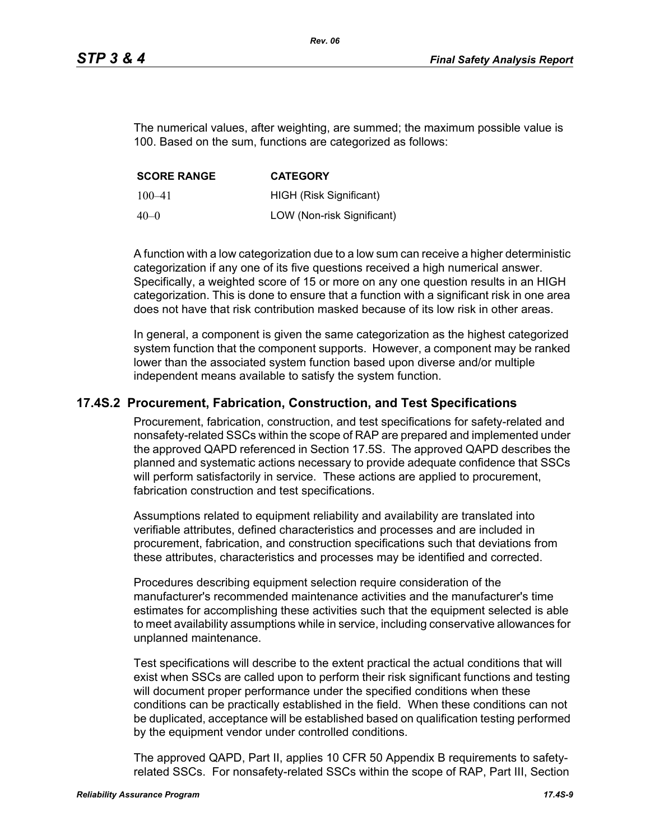The numerical values, after weighting, are summed; the maximum possible value is 100. Based on the sum, functions are categorized as follows:

| <b>SCORE RANGE</b> | <b>CATEGORY</b>            |
|--------------------|----------------------------|
| $100 - 41$         | HIGH (Risk Significant)    |
| 40–0               | LOW (Non-risk Significant) |

A function with a low categorization due to a low sum can receive a higher deterministic categorization if any one of its five questions received a high numerical answer. Specifically, a weighted score of 15 or more on any one question results in an HIGH categorization. This is done to ensure that a function with a significant risk in one area does not have that risk contribution masked because of its low risk in other areas.

In general, a component is given the same categorization as the highest categorized system function that the component supports. However, a component may be ranked lower than the associated system function based upon diverse and/or multiple independent means available to satisfy the system function.

## **17.4S.2 Procurement, Fabrication, Construction, and Test Specifications**

Procurement, fabrication, construction, and test specifications for safety-related and nonsafety-related SSCs within the scope of RAP are prepared and implemented under the approved QAPD referenced in Section 17.5S. The approved QAPD describes the planned and systematic actions necessary to provide adequate confidence that SSCs will perform satisfactorily in service. These actions are applied to procurement, fabrication construction and test specifications.

Assumptions related to equipment reliability and availability are translated into verifiable attributes, defined characteristics and processes and are included in procurement, fabrication, and construction specifications such that deviations from these attributes, characteristics and processes may be identified and corrected.

Procedures describing equipment selection require consideration of the manufacturer's recommended maintenance activities and the manufacturer's time estimates for accomplishing these activities such that the equipment selected is able to meet availability assumptions while in service, including conservative allowances for unplanned maintenance.

Test specifications will describe to the extent practical the actual conditions that will exist when SSCs are called upon to perform their risk significant functions and testing will document proper performance under the specified conditions when these conditions can be practically established in the field. When these conditions can not be duplicated, acceptance will be established based on qualification testing performed by the equipment vendor under controlled conditions.

The approved QAPD, Part II, applies 10 CFR 50 Appendix B requirements to safetyrelated SSCs. For nonsafety-related SSCs within the scope of RAP, Part III, Section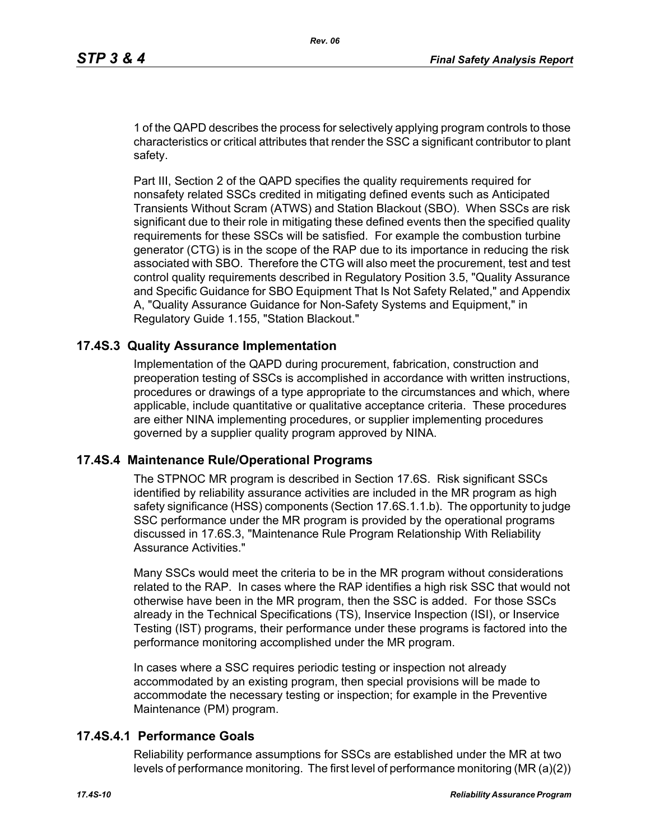1 of the QAPD describes the process for selectively applying program controls to those characteristics or critical attributes that render the SSC a significant contributor to plant safety.

Part III, Section 2 of the QAPD specifies the quality requirements required for nonsafety related SSCs credited in mitigating defined events such as Anticipated Transients Without Scram (ATWS) and Station Blackout (SBO). When SSCs are risk significant due to their role in mitigating these defined events then the specified quality requirements for these SSCs will be satisfied. For example the combustion turbine generator (CTG) is in the scope of the RAP due to its importance in reducing the risk associated with SBO. Therefore the CTG will also meet the procurement, test and test control quality requirements described in Regulatory Position 3.5, "Quality Assurance and Specific Guidance for SBO Equipment That Is Not Safety Related," and Appendix A, "Quality Assurance Guidance for Non-Safety Systems and Equipment," in Regulatory Guide 1.155, "Station Blackout."

### **17.4S.3 Quality Assurance Implementation**

Implementation of the QAPD during procurement, fabrication, construction and preoperation testing of SSCs is accomplished in accordance with written instructions, procedures or drawings of a type appropriate to the circumstances and which, where applicable, include quantitative or qualitative acceptance criteria. These procedures are either NINA implementing procedures, or supplier implementing procedures governed by a supplier quality program approved by NINA.

### **17.4S.4 Maintenance Rule/Operational Programs**

The STPNOC MR program is described in Section 17.6S. Risk significant SSCs identified by reliability assurance activities are included in the MR program as high safety significance (HSS) components (Section 17.6S.1.1.b). The opportunity to judge SSC performance under the MR program is provided by the operational programs discussed in 17.6S.3, "Maintenance Rule Program Relationship With Reliability Assurance Activities."

Many SSCs would meet the criteria to be in the MR program without considerations related to the RAP. In cases where the RAP identifies a high risk SSC that would not otherwise have been in the MR program, then the SSC is added. For those SSCs already in the Technical Specifications (TS), Inservice Inspection (ISI), or Inservice Testing (IST) programs, their performance under these programs is factored into the performance monitoring accomplished under the MR program.

In cases where a SSC requires periodic testing or inspection not already accommodated by an existing program, then special provisions will be made to accommodate the necessary testing or inspection; for example in the Preventive Maintenance (PM) program.

#### **17.4S.4.1 Performance Goals**

Reliability performance assumptions for SSCs are established under the MR at two levels of performance monitoring. The first level of performance monitoring (MR (a)(2))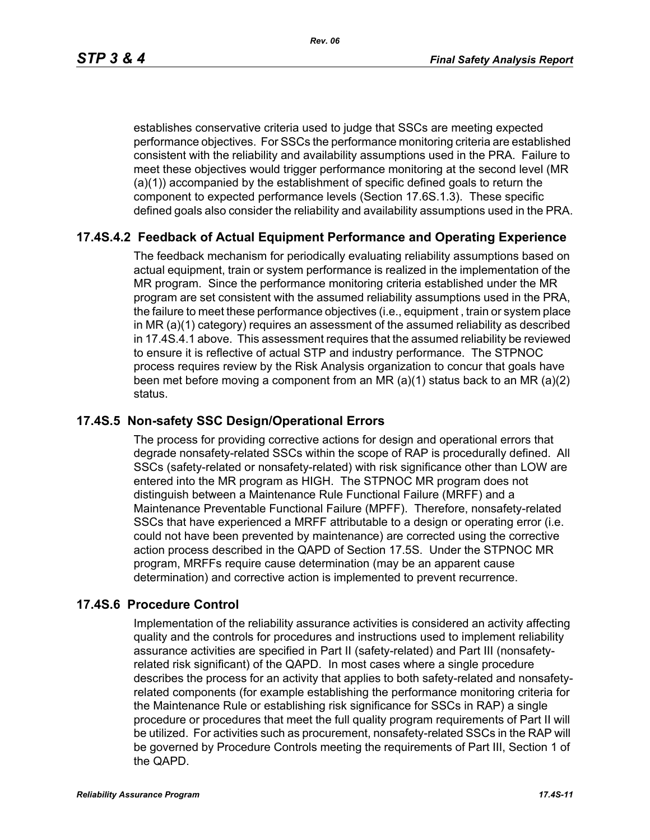establishes conservative criteria used to judge that SSCs are meeting expected performance objectives. For SSCs the performance monitoring criteria are established consistent with the reliability and availability assumptions used in the PRA. Failure to meet these objectives would trigger performance monitoring at the second level (MR (a)(1)) accompanied by the establishment of specific defined goals to return the component to expected performance levels (Section 17.6S.1.3). These specific defined goals also consider the reliability and availability assumptions used in the PRA.

### **17.4S.4.2 Feedback of Actual Equipment Performance and Operating Experience**

The feedback mechanism for periodically evaluating reliability assumptions based on actual equipment, train or system performance is realized in the implementation of the MR program. Since the performance monitoring criteria established under the MR program are set consistent with the assumed reliability assumptions used in the PRA, the failure to meet these performance objectives (i.e., equipment , train or system place in MR (a)(1) category) requires an assessment of the assumed reliability as described in 17.4S.4.1 above. This assessment requires that the assumed reliability be reviewed to ensure it is reflective of actual STP and industry performance. The STPNOC process requires review by the Risk Analysis organization to concur that goals have been met before moving a component from an MR (a)(1) status back to an MR (a)(2) status.

### **17.4S.5 Non-safety SSC Design/Operational Errors**

The process for providing corrective actions for design and operational errors that degrade nonsafety-related SSCs within the scope of RAP is procedurally defined. All SSCs (safety-related or nonsafety-related) with risk significance other than LOW are entered into the MR program as HIGH. The STPNOC MR program does not distinguish between a Maintenance Rule Functional Failure (MRFF) and a Maintenance Preventable Functional Failure (MPFF). Therefore, nonsafety-related SSCs that have experienced a MRFF attributable to a design or operating error (i.e. could not have been prevented by maintenance) are corrected using the corrective action process described in the QAPD of Section 17.5S. Under the STPNOC MR program, MRFFs require cause determination (may be an apparent cause determination) and corrective action is implemented to prevent recurrence.

### **17.4S.6 Procedure Control**

Implementation of the reliability assurance activities is considered an activity affecting quality and the controls for procedures and instructions used to implement reliability assurance activities are specified in Part II (safety-related) and Part III (nonsafetyrelated risk significant) of the QAPD. In most cases where a single procedure describes the process for an activity that applies to both safety-related and nonsafetyrelated components (for example establishing the performance monitoring criteria for the Maintenance Rule or establishing risk significance for SSCs in RAP) a single procedure or procedures that meet the full quality program requirements of Part II will be utilized. For activities such as procurement, nonsafety-related SSCs in the RAP will be governed by Procedure Controls meeting the requirements of Part III, Section 1 of the QAPD.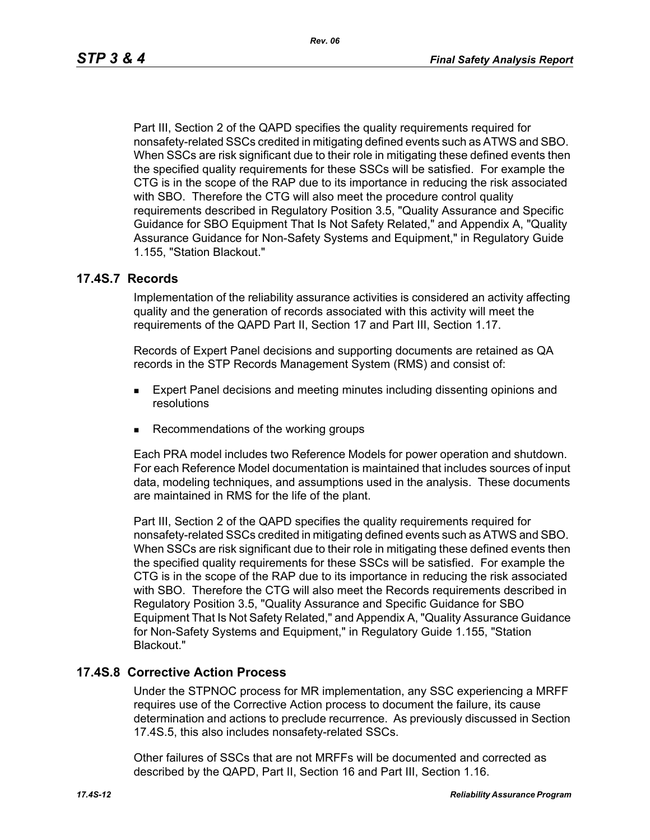Part III, Section 2 of the QAPD specifies the quality requirements required for nonsafety-related SSCs credited in mitigating defined events such as ATWS and SBO. When SSCs are risk significant due to their role in mitigating these defined events then the specified quality requirements for these SSCs will be satisfied. For example the CTG is in the scope of the RAP due to its importance in reducing the risk associated with SBO. Therefore the CTG will also meet the procedure control quality requirements described in Regulatory Position 3.5, "Quality Assurance and Specific Guidance for SBO Equipment That Is Not Safety Related," and Appendix A, "Quality Assurance Guidance for Non-Safety Systems and Equipment," in Regulatory Guide 1.155, "Station Blackout."

#### **17.4S.7 Records**

Implementation of the reliability assurance activities is considered an activity affecting quality and the generation of records associated with this activity will meet the requirements of the QAPD Part II, Section 17 and Part III, Section 1.17.

Records of Expert Panel decisions and supporting documents are retained as QA records in the STP Records Management System (RMS) and consist of:

- **Expert Panel decisions and meeting minutes including dissenting opinions and** resolutions
- Recommendations of the working groups

Each PRA model includes two Reference Models for power operation and shutdown. For each Reference Model documentation is maintained that includes sources of input data, modeling techniques, and assumptions used in the analysis. These documents are maintained in RMS for the life of the plant.

Part III, Section 2 of the QAPD specifies the quality requirements required for nonsafety-related SSCs credited in mitigating defined events such as ATWS and SBO. When SSCs are risk significant due to their role in mitigating these defined events then the specified quality requirements for these SSCs will be satisfied. For example the CTG is in the scope of the RAP due to its importance in reducing the risk associated with SBO. Therefore the CTG will also meet the Records requirements described in Regulatory Position 3.5, "Quality Assurance and Specific Guidance for SBO Equipment That Is Not Safety Related," and Appendix A, "Quality Assurance Guidance for Non-Safety Systems and Equipment," in Regulatory Guide 1.155, "Station Blackout."

### **17.4S.8 Corrective Action Process**

Under the STPNOC process for MR implementation, any SSC experiencing a MRFF requires use of the Corrective Action process to document the failure, its cause determination and actions to preclude recurrence. As previously discussed in Section 17.4S.5, this also includes nonsafety-related SSCs.

Other failures of SSCs that are not MRFFs will be documented and corrected as described by the QAPD, Part II, Section 16 and Part III, Section 1.16.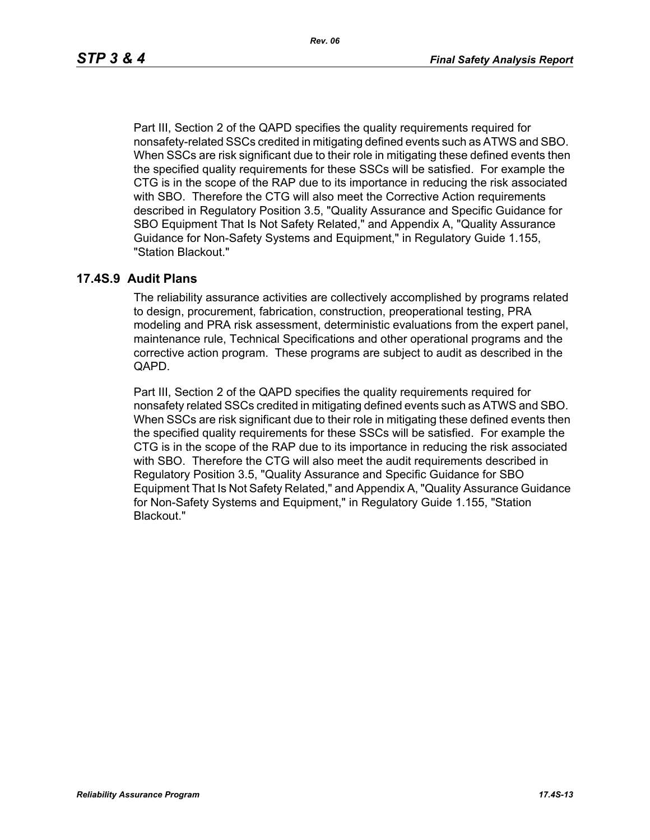*Rev. 06*

Part III, Section 2 of the QAPD specifies the quality requirements required for nonsafety-related SSCs credited in mitigating defined events such as ATWS and SBO. When SSCs are risk significant due to their role in mitigating these defined events then the specified quality requirements for these SSCs will be satisfied. For example the CTG is in the scope of the RAP due to its importance in reducing the risk associated with SBO. Therefore the CTG will also meet the Corrective Action requirements described in Regulatory Position 3.5, "Quality Assurance and Specific Guidance for SBO Equipment That Is Not Safety Related," and Appendix A, "Quality Assurance Guidance for Non-Safety Systems and Equipment," in Regulatory Guide 1.155, "Station Blackout."

### **17.4S.9 Audit Plans**

The reliability assurance activities are collectively accomplished by programs related to design, procurement, fabrication, construction, preoperational testing, PRA modeling and PRA risk assessment, deterministic evaluations from the expert panel, maintenance rule, Technical Specifications and other operational programs and the corrective action program. These programs are subject to audit as described in the QAPD.

Part III, Section 2 of the QAPD specifies the quality requirements required for nonsafety related SSCs credited in mitigating defined events such as ATWS and SBO. When SSCs are risk significant due to their role in mitigating these defined events then the specified quality requirements for these SSCs will be satisfied. For example the CTG is in the scope of the RAP due to its importance in reducing the risk associated with SBO. Therefore the CTG will also meet the audit requirements described in Regulatory Position 3.5, "Quality Assurance and Specific Guidance for SBO Equipment That Is Not Safety Related," and Appendix A, "Quality Assurance Guidance for Non-Safety Systems and Equipment," in Regulatory Guide 1.155, "Station Blackout."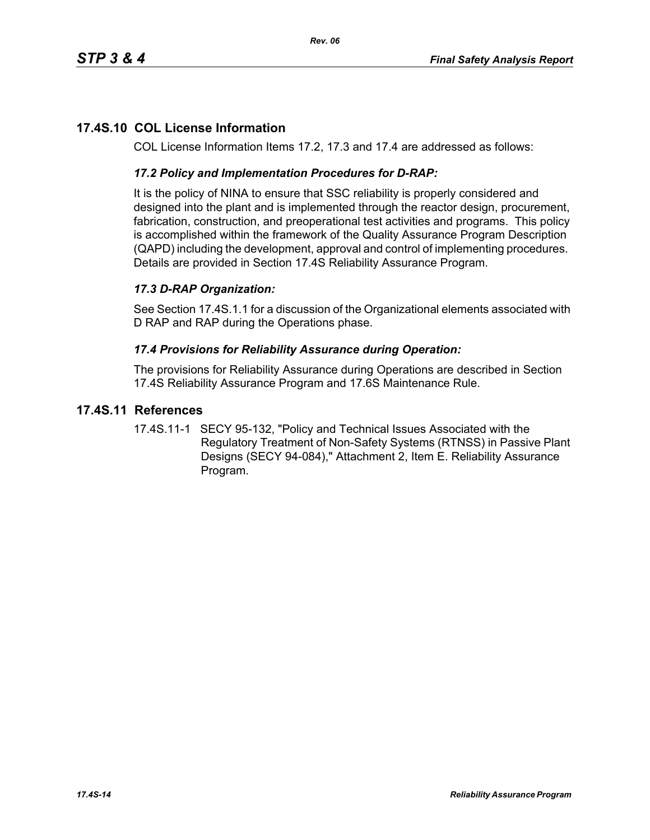# **17.4S.10 COL License Information**

COL License Information Items 17.2, 17.3 and 17.4 are addressed as follows:

### *17.2 Policy and Implementation Procedures for D-RAP:*

It is the policy of NINA to ensure that SSC reliability is properly considered and designed into the plant and is implemented through the reactor design, procurement, fabrication, construction, and preoperational test activities and programs. This policy is accomplished within the framework of the Quality Assurance Program Description (QAPD) including the development, approval and control of implementing procedures. Details are provided in Section 17.4S Reliability Assurance Program.

## *17.3 D-RAP Organization:*

See Section 17.4S.1.1 for a discussion of the Organizational elements associated with D RAP and RAP during the Operations phase.

### *17.4 Provisions for Reliability Assurance during Operation:*

The provisions for Reliability Assurance during Operations are described in Section 17.4S Reliability Assurance Program and 17.6S Maintenance Rule.

### **17.4S.11 References**

17.4S.11-1 SECY 95-132, "Policy and Technical Issues Associated with the Regulatory Treatment of Non-Safety Systems (RTNSS) in Passive Plant Designs (SECY 94-084)," Attachment 2, Item E. Reliability Assurance Program.